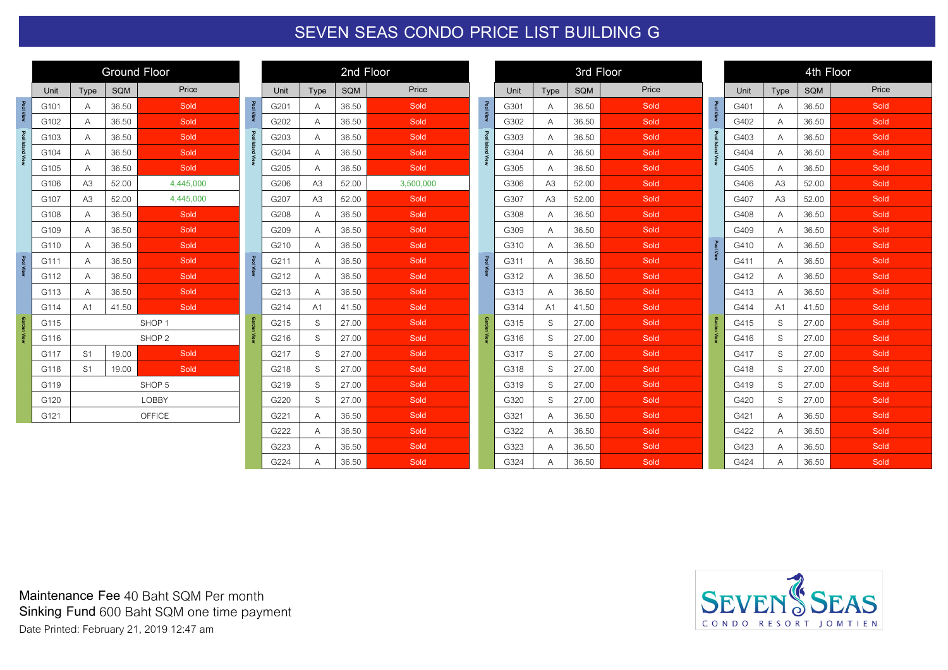## **SEVEN SEAS CONDO PRICE LIST BUILDING G**

|                    | <b>Ground Floor</b>    |                   |            |                   |  |  |  |  |  |  |  |
|--------------------|------------------------|-------------------|------------|-------------------|--|--|--|--|--|--|--|
|                    | Unit                   | <b>Type</b>       | <b>SQM</b> | Price             |  |  |  |  |  |  |  |
| <b>Pool View</b>   | G101                   | A                 | 36.50      | Sold              |  |  |  |  |  |  |  |
|                    | G102                   | A                 | 36.50      | Sold              |  |  |  |  |  |  |  |
|                    | G103                   | A                 | 36.50      | Sold              |  |  |  |  |  |  |  |
| Pool Island View   | G104                   | A                 | 36.50      | Sold              |  |  |  |  |  |  |  |
|                    | G105                   | A                 | 36.50      | Sold              |  |  |  |  |  |  |  |
|                    | G106                   | A <sub>3</sub>    | 52.00      | 4,445,000         |  |  |  |  |  |  |  |
|                    | G107                   | A <sub>3</sub>    | 52.00      | 4,445,000         |  |  |  |  |  |  |  |
|                    | G108                   | A                 | 36.50      | Sold              |  |  |  |  |  |  |  |
|                    | G109                   | A                 | 36.50      | Sold              |  |  |  |  |  |  |  |
|                    | G110                   | A                 | 36.50      | Sold              |  |  |  |  |  |  |  |
| Pool View          | G111                   | A                 | 36.50      | Sold              |  |  |  |  |  |  |  |
|                    | G112                   | A                 | 36.50      | Sold              |  |  |  |  |  |  |  |
|                    | G113                   | A                 | 36.50      | Sold              |  |  |  |  |  |  |  |
|                    | G114                   | A <sub>1</sub>    | 41.50      | Sold              |  |  |  |  |  |  |  |
| <b>Garden View</b> | G115                   | SHOP <sub>1</sub> |            |                   |  |  |  |  |  |  |  |
|                    | G116                   |                   |            | SHOP <sub>2</sub> |  |  |  |  |  |  |  |
|                    | G117                   | S <sub>1</sub>    | 19.00      | Sold              |  |  |  |  |  |  |  |
|                    | S <sub>1</sub><br>G118 |                   | 19.00      | Sold              |  |  |  |  |  |  |  |
|                    | G119                   |                   |            | SHOP <sub>5</sub> |  |  |  |  |  |  |  |
|                    | G120                   |                   |            | LOBBY             |  |  |  |  |  |  |  |
|                    | G121                   |                   |            | OFFICE            |  |  |  |  |  |  |  |

| 2nd Floor |                |            |           |  |  |  |  |  |  |  |
|-----------|----------------|------------|-----------|--|--|--|--|--|--|--|
| Unit      | <b>Type</b>    | <b>SQM</b> | Price     |  |  |  |  |  |  |  |
| G201      | Α              | 36.50      | Sold      |  |  |  |  |  |  |  |
| G202      | Α              | 36.50      | Sold      |  |  |  |  |  |  |  |
| G203      | A              | 36.50      | Sold      |  |  |  |  |  |  |  |
| G204      | А              | 36.50      | Sold      |  |  |  |  |  |  |  |
| G205      | Α              | 36.50      | Sold      |  |  |  |  |  |  |  |
| G206      | A <sub>3</sub> | 52.00      | 3,500,000 |  |  |  |  |  |  |  |
| G207      | A <sub>3</sub> | 52.00      | Sold      |  |  |  |  |  |  |  |
| G208      | Α              | 36.50      | Sold      |  |  |  |  |  |  |  |
| G209      | Α              | 36.50      | Sold      |  |  |  |  |  |  |  |
| G210      | Α              | 36.50      | Sold      |  |  |  |  |  |  |  |
| G211      | А              | 36.50      | Sold      |  |  |  |  |  |  |  |
| G212      | Α              | 36.50      | Sold      |  |  |  |  |  |  |  |
| G213      | А              | 36.50      | Sold      |  |  |  |  |  |  |  |
| G214      | A <sub>1</sub> | 41.50      | Sold      |  |  |  |  |  |  |  |
| G215      | S              | 27.00      | Sold      |  |  |  |  |  |  |  |
| G216      | S              | 27.00      | Sold      |  |  |  |  |  |  |  |
| G217      | S              | 27.00      | Sold      |  |  |  |  |  |  |  |
| G218      | S              | 27.00      | Sold      |  |  |  |  |  |  |  |
| G219      | S              | 27.00      | Sold      |  |  |  |  |  |  |  |
| G220      | S              | 27.00      | Sold      |  |  |  |  |  |  |  |
| G221      | Α              | 36.50      | Sold      |  |  |  |  |  |  |  |
| G222      | A              | 36.50      | Sold      |  |  |  |  |  |  |  |
| G223      | Α              | 36.50      | Sold      |  |  |  |  |  |  |  |
| G224      | A              | 36.50      | Sold      |  |  |  |  |  |  |  |

|                    | 3rd Floor |                |            |       |  |  |  |  |  |  |  |
|--------------------|-----------|----------------|------------|-------|--|--|--|--|--|--|--|
|                    | Unit      | Type           | <b>SQM</b> | Price |  |  |  |  |  |  |  |
| Pool View          | G301      | Α              | 36.50      | Sold  |  |  |  |  |  |  |  |
|                    | G302      | Α              | 36.50      | Sold  |  |  |  |  |  |  |  |
|                    | G303      | Α              | 36.50      | Sold  |  |  |  |  |  |  |  |
| Pool Island View   | G304      | A              | 36.50      | Sold  |  |  |  |  |  |  |  |
|                    | G305      | Α              | 36.50      | Sold  |  |  |  |  |  |  |  |
|                    | G306      | A <sub>3</sub> | 52.00      | Sold  |  |  |  |  |  |  |  |
|                    | G307      | A3             | 52.00      | Sold  |  |  |  |  |  |  |  |
|                    | G308      | Α              | 36.50      | Sold  |  |  |  |  |  |  |  |
|                    | G309      | A              | 36.50      | Sold  |  |  |  |  |  |  |  |
|                    | G310      | A              | 36.50      | Sold  |  |  |  |  |  |  |  |
| Pool View          | G311      | Α              | 36.50      | Sold  |  |  |  |  |  |  |  |
|                    | G312      | Α              | 36.50      | Sold  |  |  |  |  |  |  |  |
|                    | G313      | Α              | 36.50      | Sold  |  |  |  |  |  |  |  |
|                    | G314      | A <sub>1</sub> | 41.50      | Sold  |  |  |  |  |  |  |  |
| <b>Garden View</b> | G315      | S              | 27.00      | Sold  |  |  |  |  |  |  |  |
|                    | G316      | S              | 27.00      | Sold  |  |  |  |  |  |  |  |
|                    | G317      | S              | 27.00      | Sold  |  |  |  |  |  |  |  |
|                    | G318      | S              | 27.00      | Sold  |  |  |  |  |  |  |  |
|                    | G319      | S              | 27.00      | Sold  |  |  |  |  |  |  |  |
|                    | G320      | S              | 27.00      | Sold  |  |  |  |  |  |  |  |
|                    | G321      | Α              | 36.50      | Sold  |  |  |  |  |  |  |  |
|                    | G322      | Α              | 36.50      | Sold  |  |  |  |  |  |  |  |
|                    | G323      | А              | 36.50      | Sold  |  |  |  |  |  |  |  |
|                    | G324      | A              | 36.50      | Sold  |  |  |  |  |  |  |  |

|                    |      |                | 4th Floor  |       |  |  |  |  |  |  |
|--------------------|------|----------------|------------|-------|--|--|--|--|--|--|
|                    | Unit | Type           | <b>SQM</b> | Price |  |  |  |  |  |  |
| <b>Pool View</b>   | G401 | Α              | 36.50      | Sold  |  |  |  |  |  |  |
|                    | G402 | Α              | 36.50      | Sold  |  |  |  |  |  |  |
|                    | G403 | A              | 36.50      | Sold  |  |  |  |  |  |  |
| Pool Island View   | G404 | Α              | 36.50      | Sold  |  |  |  |  |  |  |
|                    | G405 | A              | 36.50      | Sold  |  |  |  |  |  |  |
|                    | G406 | A <sub>3</sub> | 52.00      | Sold  |  |  |  |  |  |  |
|                    | G407 | A <sub>3</sub> | 52.00      | Sold  |  |  |  |  |  |  |
|                    | G408 | Α              | 36.50      | Sold  |  |  |  |  |  |  |
|                    | G409 | A              | 36.50      | Sold  |  |  |  |  |  |  |
| <b>Pool View</b>   | G410 | A              | 36.50      | Sold  |  |  |  |  |  |  |
|                    | G411 | Α              | 36.50      | Sold  |  |  |  |  |  |  |
|                    | G412 | A              | 36.50      | Sold  |  |  |  |  |  |  |
|                    | G413 | A              | 36.50      | Sold  |  |  |  |  |  |  |
|                    | G414 | A <sub>1</sub> | 41.50      | Sold  |  |  |  |  |  |  |
| <b>Garden View</b> | G415 | S              | 27.00      | Sold  |  |  |  |  |  |  |
|                    | G416 | S              | 27.00      | Sold  |  |  |  |  |  |  |
|                    | G417 | S              | 27.00      | Sold  |  |  |  |  |  |  |
|                    | G418 | S              | 27.00      | Sold  |  |  |  |  |  |  |
|                    | G419 | S              | 27.00      | Sold  |  |  |  |  |  |  |
|                    | G420 | S              | 27.00      | Sold  |  |  |  |  |  |  |
|                    | G421 | A              | 36.50      | Sold  |  |  |  |  |  |  |
|                    | G422 | Α              | 36.50      | Sold  |  |  |  |  |  |  |
|                    | G423 | Α              | 36.50      | Sold  |  |  |  |  |  |  |
|                    | G424 | A              | 36.50      | Sold  |  |  |  |  |  |  |